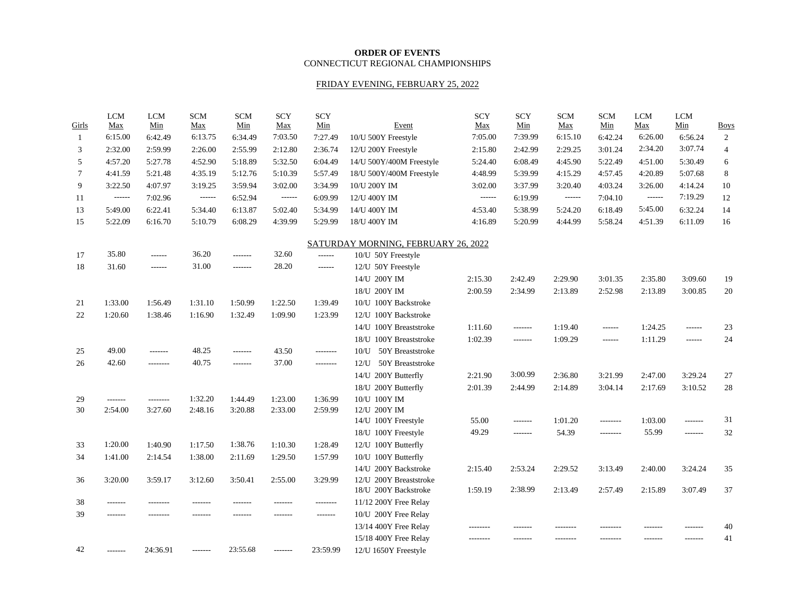#### **ORDER OF EVENTS** CONNECTICUT REGIONAL CHAMPIONSHIPS

# FRIDAY EVENING, FEBRUARY 25, 2022

| Girls        | <b>LCM</b><br>Max | <b>LCM</b><br>Min | <b>SCM</b><br>Max | <b>SCM</b><br>Min | <b>SCY</b><br><b>Max</b> | <b>SCY</b><br>Min | Event                               | <b>SCY</b><br>Max | <b>SCY</b><br>Min | <b>SCM</b><br>Max | <b>SCM</b><br>Min | <b>LCM</b><br>Max | <b>LCM</b><br>Min | <b>Boys</b>    |
|--------------|-------------------|-------------------|-------------------|-------------------|--------------------------|-------------------|-------------------------------------|-------------------|-------------------|-------------------|-------------------|-------------------|-------------------|----------------|
| $\mathbf{1}$ | 6:15.00           | 6:42.49           | 6:13.75           | 6:34.49           | 7:03.50                  | 7:27.49           | 10/U 500Y Freestyle                 | 7:05.00           | 7:39.99           | 6:15.10           | 6:42.24           | 6:26.00           | 6:56.24           | $\overline{2}$ |
| 3            | 2:32.00           | 2:59.99           | 2:26.00           | 2:55.99           | 2:12.80                  | 2:36.74           | 12/U 200Y Freestyle                 | 2:15.80           | 2:42.99           | 2:29.25           | 3:01.24           | 2:34.20           | 3:07.74           | $\overline{4}$ |
| 5            | 4:57.20           | 5:27.78           | 4:52.90           | 5:18.89           | 5:32.50                  | 6:04.49           | 14/U 500Y/400M Freestyle            | 5:24.40           | 6:08.49           | 4:45.90           | 5:22.49           | 4:51.00           | 5:30.49           | 6              |
| $\tau$       | 4:41.59           | 5:21.48           | 4:35.19           | 5:12.76           | 5:10.39                  | 5:57.49           | 18/U 500Y/400M Freestyle            | 4:48.99           | 5:39.99           | 4:15.29           | 4:57.45           | 4:20.89           | 5:07.68           | 8              |
| 9            | 3:22.50           | 4:07.97           | 3:19.25           | 3:59.94           | 3:02.00                  | 3:34.99           | 10/U 200Y IM                        | 3:02.00           | 3:37.99           | 3:20.40           | 4:03.24           | 3:26.00           | 4:14.24           | $10\,$         |
| 11           | $-----$           | 7:02.96           | ------            | 6:52.94           |                          | 6:09.99           | 12/U 400Y IM                        | $-----1$          | 6:19.99           | $-----1$          | 7:04.10           |                   | 7:19.29           | 12             |
| 13           | 5:49.00           | 6:22.41           | 5:34.40           | 6:13.87           | 5:02.40                  | 5:34.99           | 14/U 400Y IM                        | 4:53.40           | 5:38.99           | 5:24.20           | 6:18.49           | 5:45.00           | 6:32.24           | 14             |
| 15           | 5:22.09           | 6:16.70           | 5:10.79           | 6:08.29           | 4:39.99                  | 5:29.99           | 18/U 400Y IM                        | 4:16.89           | 5:20.99           | 4:44.99           | 5:58.24           | 4:51.39           | 6:11.09           | 16             |
|              |                   |                   |                   |                   |                          |                   | SATURDAY MORNING, FEBRUARY 26, 2022 |                   |                   |                   |                   |                   |                   |                |
| 17           | 35.80             | ------            | 36.20             | -------           | 32.60                    | $- - - - - -$     | 10/U 50Y Freestyle                  |                   |                   |                   |                   |                   |                   |                |
| 18           | 31.60             | ------            | 31.00             | -------           | 28.20                    | ------            | 12/U 50Y Freestyle                  |                   |                   |                   |                   |                   |                   |                |
|              |                   |                   |                   |                   |                          |                   | 14/U 200Y IM                        | 2:15.30           | 2:42.49           | 2:29.90           | 3:01.35           | 2:35.80           | 3:09.60           | 19             |
|              |                   |                   |                   |                   |                          |                   | 18/U 200Y IM                        | 2:00.59           | 2:34.99           | 2:13.89           | 2:52.98           | 2:13.89           | 3:00.85           | 20             |
| 21           | 1:33.00           | 1:56.49           | 1:31.10           | 1:50.99           | 1:22.50                  | 1:39.49           | 10/U 100Y Backstroke                |                   |                   |                   |                   |                   |                   |                |
| 22           | 1:20.60           | 1:38.46           | 1:16.90           | 1:32.49           | 1:09.90                  | 1:23.99           | 12/U 100Y Backstroke                |                   |                   |                   |                   |                   |                   |                |
|              |                   |                   |                   |                   |                          |                   | 14/U 100Y Breaststroke              | 1:11.60           | -------           | 1:19.40           | ------            | 1:24.25           | ------            | 23             |
|              |                   |                   |                   |                   |                          |                   | 18/U 100Y Breaststroke              | 1:02.39           | $- - - - - - -$   | 1:09.29           | $- - - - - -$     | 1:11.29           | ------            | 24             |
| 25           | 49.00             | -------           | 48.25             | -------           | 43.50                    | --------          | 50Y Breaststroke<br>$10\mathrm{U}$  |                   |                   |                   |                   |                   |                   |                |
| 26           | 42.60             | --------          | 40.75             | -------           | 37.00                    | --------          | 50Y Breaststroke<br>12/U            |                   |                   |                   |                   |                   |                   |                |
|              |                   |                   |                   |                   |                          |                   | 14/U 200Y Butterfly                 | 2:21.90           | 3:00.99           | 2:36.80           | 3:21.99           | 2:47.00           | 3:29.24           | 27             |
|              |                   |                   |                   |                   |                          |                   | 18/U 200Y Butterfly                 | 2:01.39           | 2:44.99           | 2:14.89           | 3:04.14           | 2:17.69           | 3:10.52           | 28             |
| 29           |                   | --------          | 1:32.20           | 1:44.49           | 1:23.00                  | 1:36.99           | 10/U 100Y IM                        |                   |                   |                   |                   |                   |                   |                |
| 30           | 2:54.00           | 3:27.60           | 2:48.16           | 3:20.88           | 2:33.00                  | 2:59.99           | 12/U 200Y IM                        |                   |                   |                   |                   |                   |                   |                |
|              |                   |                   |                   |                   |                          |                   | 14/U 100Y Freestyle                 | 55.00             | $- - - - - - -$   | 1:01.20           | --------          | 1:03.00           | -------           | 31             |
|              |                   |                   |                   |                   |                          |                   | 18/U 100Y Freestyle                 | 49.29             | -------           | 54.39             | --------          | 55.99             | -------           | 32             |
| 33           | 1:20.00           | 1:40.90           | 1:17.50           | 1:38.76           | 1:10.30                  | 1:28.49           | 12/U 100Y Butterfly                 |                   |                   |                   |                   |                   |                   |                |
| 34           | 1:41.00           | 2:14.54           | 1:38.00           | 2:11.69           | 1:29.50                  | 1:57.99           | 10/U 100Y Butterfly                 |                   |                   |                   |                   |                   |                   |                |
|              |                   |                   |                   |                   |                          |                   | 14/U 200Y Backstroke                | 2:15.40           | 2:53.24           | 2:29.52           | 3:13.49           | 2:40.00           | 3:24.24           | 35             |
| 36           | 3:20.00           | 3:59.17           | 3:12.60           | 3:50.41           | 2:55.00                  | 3:29.99           | 12/U 200Y Breaststroke              |                   |                   |                   |                   |                   |                   |                |
|              |                   |                   |                   |                   |                          |                   | 18/U 200Y Backstroke                | 1:59.19           | 2:38.99           | 2:13.49           | 2:57.49           | 2:15.89           | 3:07.49           | 37             |
| 38           | -------           | .                 |                   |                   | -------                  | --------          | 11/12 200Y Free Relay               |                   |                   |                   |                   |                   |                   |                |
| 39           | -------           | --------          | -------           | -------           | -------                  | -------           | 10/U 200Y Free Relay                |                   |                   |                   |                   |                   |                   |                |
|              |                   |                   |                   |                   |                          |                   | 13/14 400Y Free Relay               | --------          |                   | --------          |                   | -------           | -------           | 40             |
|              |                   |                   |                   |                   |                          |                   | 15/18 400Y Free Relay               | --------          |                   | .                 |                   | -------           | -------           | 41             |
| 42           |                   | 24:36.91          | -------           | 23:55.68          | -------                  | 23:59.99          | 12/U 1650Y Freestyle                |                   |                   |                   |                   |                   |                   |                |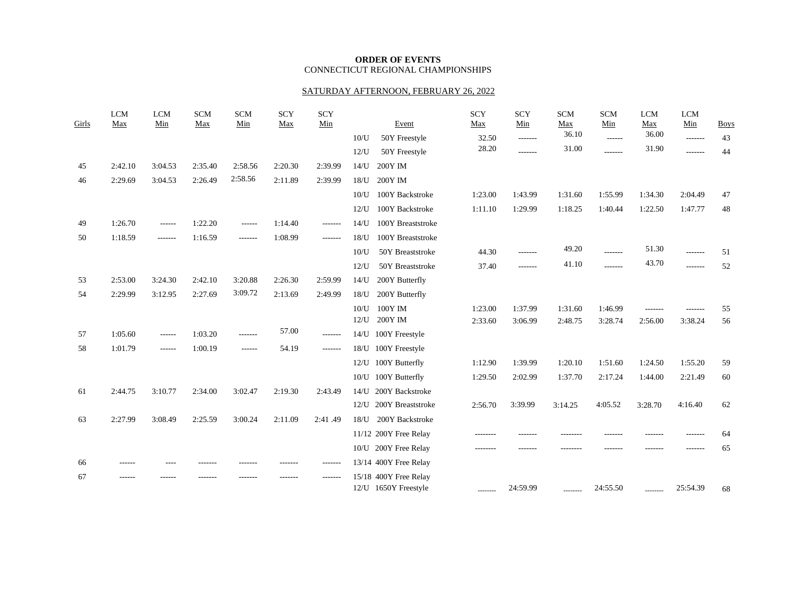### **ORDER OF EVENTS** CONNECTICUT REGIONAL CHAMPIONSHIPS

#### SATURDAY AFTERNOON, FEBRUARY 26, 2022

| Girls | <b>LCM</b><br>Max | <b>LCM</b><br>Min | <b>SCM</b><br>Max | <b>SCM</b><br>Min | <b>SCY</b><br>Max | <b>SCY</b><br>Min | Event                                         | <b>SCY</b><br>Max | <b>SCY</b><br>Min | <b>SCM</b><br>Max | <b>SCM</b><br>Min | LCM<br>Max | <b>LCM</b><br>Min | <b>Boys</b> |
|-------|-------------------|-------------------|-------------------|-------------------|-------------------|-------------------|-----------------------------------------------|-------------------|-------------------|-------------------|-------------------|------------|-------------------|-------------|
|       |                   |                   |                   |                   |                   |                   | 10 <sub>U</sub><br>50Y Freestyle              | 32.50             | -------           | 36.10             | ------            | 36.00      | $- - - - - - -$   | 43          |
|       |                   |                   |                   |                   |                   |                   | 12 <sub>U</sub><br>50Y Freestyle              | 28.20             | -------           | 31.00             | --------          | 31.90      | -------           | 44          |
| 45    | 2:42.10           | 3:04.53           | 2:35.40           | 2:58.56           | 2:20.30           | 2:39.99           | 14 <sub>U</sub><br>200Y IM                    |                   |                   |                   |                   |            |                   |             |
| 46    | 2:29.69           | 3:04.53           | 2:26.49           | 2:58.56           | 2:11.89           | 2:39.99           | 200Y IM<br>$18/$ U                            |                   |                   |                   |                   |            |                   |             |
|       |                   |                   |                   |                   |                   |                   | 10 <sub>U</sub><br>100Y Backstroke            | 1:23.00           | 1:43.99           | 1:31.60           | 1:55.99           | 1:34.30    | 2:04.49           | 47          |
|       |                   |                   |                   |                   |                   |                   | 12 <sub>U</sub><br>100Y Backstroke            | 1:11.10           | 1:29.99           | 1:18.25           | 1:40.44           | 1:22.50    | 1:47.77           | 48          |
| 49    | 1:26.70           | $- - - - - -$     | 1:22.20           | ------            | 1:14.40           | -------           | 14 <sub>U</sub><br>100Y Breaststroke          |                   |                   |                   |                   |            |                   |             |
| 50    | 1:18.59           | $- - - - - - -$   | 1:16.59           | -------           | 1:08.99           | -------           | 100Y Breaststroke<br>18 <sub>U</sub>          |                   |                   |                   |                   |            |                   |             |
|       |                   |                   |                   |                   |                   |                   | 50Y Breaststroke<br>10 <sub>U</sub>           | 44.30             | -------           | 49.20             | -------           | 51.30      | -------           | 51          |
|       |                   |                   |                   |                   |                   |                   | 12 <sub>U</sub><br>50Y Breaststroke           | 37.40             | -------           | 41.10             | -------           | 43.70      | -------           | 52          |
| 53    | 2:53.00           | 3:24.30           | 2:42.10           | 3:20.88           | 2:26.30           | 2:59.99           | $14/$ U<br>200Y Butterfly                     |                   |                   |                   |                   |            |                   |             |
| 54    | 2:29.99           | 3:12.95           | 2:27.69           | 3:09.72           | 2:13.69           | 2:49.99           | 200Y Butterfly<br>$18/$ U                     |                   |                   |                   |                   |            |                   |             |
|       |                   |                   |                   |                   |                   |                   | 10 <sub>U</sub><br>$100Y$ IM                  | 1:23.00           | 1:37.99           | 1:31.60           | 1:46.99           | -------    | -------           | 55          |
|       |                   |                   |                   |                   |                   |                   | 200Y IM<br>12 <sub>U</sub>                    | 2:33.60           | 3:06.99           | 2:48.75           | 3:28.74           | 2:56.00    | 3:38.24           | 56          |
| 57    | 1:05.60           | $- - - - - -$     | 1:03.20           | -------           | 57.00             | -------           | $14/$ U<br>100Y Freestyle                     |                   |                   |                   |                   |            |                   |             |
| 58    | 1:01.79           | $- - - - - -$     | 1:00.19           | ------            | 54.19             | -------           | 18/U<br>100Y Freestyle                        |                   |                   |                   |                   |            |                   |             |
|       |                   |                   |                   |                   |                   |                   | 100Y Butterfly<br>12/U                        | 1:12.90           | 1:39.99           | 1:20.10           | 1:51.60           | 1:24.50    | 1:55.20           | 59          |
|       |                   |                   |                   |                   |                   |                   | 100Y Butterfly<br>10/U                        | 1:29.50           | 2:02.99           | 1:37.70           | 2:17.24           | 1:44.00    | 2:21.49           | 60          |
| 61    | 2:44.75           | 3:10.77           | 2:34.00           | 3:02.47           | 2:19.30           | 2:43.49           | 200Y Backstroke<br>14/1                       |                   |                   |                   |                   |            |                   |             |
|       |                   |                   |                   |                   |                   |                   | 12/U 200Y Breaststroke                        | 2:56.70           | 3:39.99           | 3:14.25           | 4:05.52           | 3:28.70    | 4:16.40           | 62          |
| 63    | 2:27.99           | 3:08.49           | 2:25.59           | 3:00.24           | 2:11.09           | 2:41.49           | 200Y Backstroke<br>18/U                       |                   |                   |                   |                   |            |                   |             |
|       |                   |                   |                   |                   |                   |                   | 11/12 200Y Free Relay                         | --------          | -------           | --------          | -------           |            | -------           | 64          |
|       |                   |                   |                   |                   |                   |                   | 10/U 200Y Free Relay                          | --------          |                   |                   |                   |            |                   | 65          |
| 66    | ------            |                   |                   |                   |                   | -------           | 13/14 400Y Free Relay                         |                   |                   |                   |                   |            |                   |             |
| 67    |                   |                   |                   |                   |                   | -------           | 15/18 400Y Free Relay<br>12/U 1650Y Freestyle | --------          | 24:59.99          | --------          | 24:55.50          | --------   | 25:54.39          | 68          |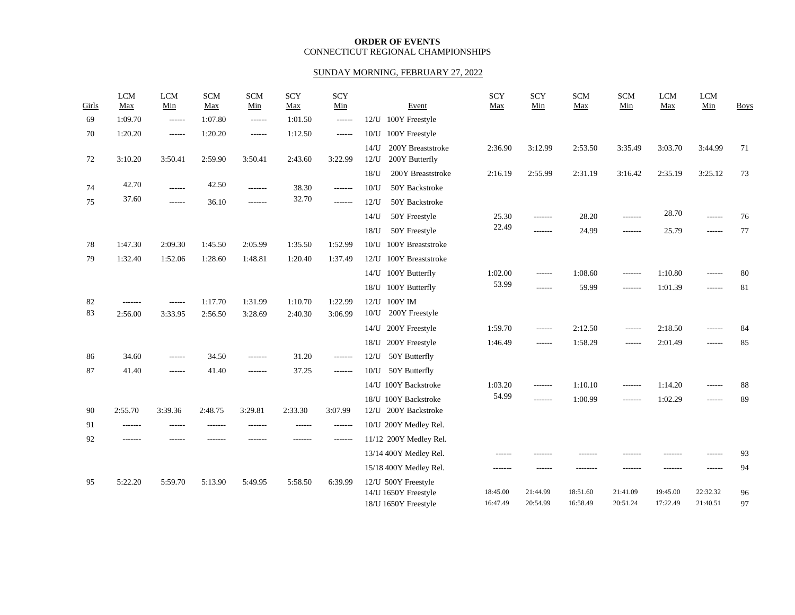### **ORDER OF EVENTS** CONNECTICUT REGIONAL CHAMPIONSHIPS

# SUNDAY MORNING, FEBRUARY 27, 2022

| Girls | <b>LCM</b><br>Max | <b>LCM</b><br>Min | <b>SCM</b><br>Max | <b>SCM</b><br>Min | <b>SCY</b><br>Max | <b>SCY</b><br>Min | Event                                                  | <b>SCY</b><br>Max | <b>SCY</b><br>Min | <b>SCM</b><br>Max | <b>SCM</b><br>Min | <b>LCM</b><br>Max | <b>LCM</b><br>Min | <b>Boys</b> |
|-------|-------------------|-------------------|-------------------|-------------------|-------------------|-------------------|--------------------------------------------------------|-------------------|-------------------|-------------------|-------------------|-------------------|-------------------|-------------|
| 69    | 1:09.70           | $-----1$          | 1:07.80           | $- - - - - -$     | 1:01.50           | $------$          | 12/U 100Y Freestyle                                    |                   |                   |                   |                   |                   |                   |             |
| 70    | 1:20.20           | $- - - - - -$     | 1:20.20           | $- - - - - -$     | 1:12.50           | $-----1$          | 100Y Freestyle<br>10/U                                 |                   |                   |                   |                   |                   |                   |             |
| 72    | 3:10.20           | 3:50.41           | 2:59.90           | 3:50.41           | 2:43.60           | 3:22.99           | 200Y Breaststroke<br>$14/$ U<br>200Y Butterfly<br>12/U | 2:36.90           | 3:12.99           | 2:53.50           | 3:35.49           | 3:03.70           | 3:44.99           | 71          |
|       |                   |                   |                   |                   |                   |                   | 18 <sub>U</sub><br>200Y Breaststroke                   | 2:16.19           | 2:55.99           | 2:31.19           | 3:16.42           | 2:35.19           | 3:25.12           | 73          |
| 74    | 42.70             | ------            | 42.50             | -------           | 38.30             | $- - - - - - -$   | 50Y Backstroke<br>10 <sub>U</sub>                      |                   |                   |                   |                   |                   |                   |             |
| 75    | 37.60             | $- - - - - -$     | 36.10             | -------           | 32.70             | -------           | 50Y Backstroke<br>12 <sub>U</sub>                      |                   |                   |                   |                   |                   |                   |             |
|       |                   |                   |                   |                   |                   |                   | 50Y Freestyle<br>14 <sub>U</sub>                       | 25.30             | -------           | 28.20             | -------           | 28.70             | $- - - - - -$     | 76          |
|       |                   |                   |                   |                   |                   |                   | 18 <sub>U</sub><br>50Y Freestyle                       | 22.49             | -------           | 24.99             | -------           | 25.79             | $-----1$          | 77          |
| 78    | 1:47.30           | 2:09.30           | 1:45.50           | 2:05.99           | 1:35.50           | 1:52.99           | 100Y Breaststroke<br>10 <sub>U</sub>                   |                   |                   |                   |                   |                   |                   |             |
| 79    | 1:32.40           | 1:52.06           | 1:28.60           | 1:48.81           | 1:20.40           | 1:37.49           | 12/U 100Y Breaststroke                                 |                   |                   |                   |                   |                   |                   |             |
|       |                   |                   |                   |                   |                   |                   | 14/U 100Y Butterfly                                    | 1:02.00           | $- - - - - -$     | 1:08.60           | -------           | 1:10.80           | ------            | 80          |
|       |                   |                   |                   |                   |                   |                   | 18/U 100Y Butterfly                                    | 53.99             | ------            | 59.99             | -------           | 1:01.39           | ------            | 81          |
| 82    | $- - - - - - -$   | ------            | 1:17.70           | 1:31.99           | 1:10.70           | 1:22.99           | $100Y$ IM<br>12/U                                      |                   |                   |                   |                   |                   |                   |             |
| 83    | 2:56.00           | 3:33.95           | 2:56.50           | 3:28.69           | 2:40.30           | 3:06.99           | 200Y Freestyle<br>10 <sub>U</sub>                      |                   |                   |                   |                   |                   |                   |             |
|       |                   |                   |                   |                   |                   |                   | 200Y Freestyle<br>14/U                                 | 1:59.70           | $- - - - - -$     | 2:12.50           | $- - - - - -$     | 2:18.50           | $- - - - - -$     | 84          |
|       |                   |                   |                   |                   |                   |                   | 200Y Freestyle<br>18/U                                 | 1:46.49           | $- - - - - -$     | 1:58.29           | $- - - - - -$     | 2:01.49           | $- - - - - -$     | 85          |
| 86    | 34.60             | $- - - - - -$     | 34.50             | -------           | 31.20             | $-----1$          | 50Y Butterfly<br>12 <sub>U</sub>                       |                   |                   |                   |                   |                   |                   |             |
| 87    | 41.40             | ------            | 41.40             | -------           | 37.25             | $-----1$          | 50Y Butterfly<br>10/U                                  |                   |                   |                   |                   |                   |                   |             |
|       |                   |                   |                   |                   |                   |                   | 14/U 100Y Backstroke                                   | 1:03.20           | $- - - - - - -$   | 1:10.10           | -------           | 1:14.20           | $- - - - - -$     | 88          |
|       |                   |                   |                   |                   |                   |                   | 18/U 100Y Backstroke                                   | 54.99             | -------           | 1:00.99           | -------           | 1:02.29           | $- - - - - -$     | 89          |
| 90    | 2:55.70           | 3:39.36           | 2:48.75           | 3:29.81           | 2:33.30           | 3:07.99           | 12/U 200Y Backstroke                                   |                   |                   |                   |                   |                   |                   |             |
| 91    | -------           |                   |                   |                   | $- - - - - -$     | -------           | 10/U 200Y Medley Rel.                                  |                   |                   |                   |                   |                   |                   |             |
| 92    | -------           | $- - - - - -$     | -------           | -------           | -------           | $- - - - - - -$   | 11/12 200Y Medley Rel.                                 |                   |                   |                   |                   |                   |                   |             |
|       |                   |                   |                   |                   |                   |                   | 13/14 400Y Medley Rel.                                 | ------            | -------           |                   |                   |                   | ------            | 93          |
|       |                   |                   |                   |                   |                   |                   | 15/18 400Y Medley Rel.                                 | -------           | ------            |                   |                   | -------           | ------            | 94          |
| 95    | 5:22.20           | 5:59.70           | 5:13.90           | 5:49.95           | 5:58.50           | 6:39.99           | 12/U 500Y Freestyle<br>14/U 1650Y Freestyle            | 18:45.00          | 21:44.99          | 18:51.60          | 21:41.09          | 19:45.00          | 22:32.32          | 96          |
|       |                   |                   |                   |                   |                   |                   | 18/U 1650Y Freestyle                                   | 16:47.49          | 20:54.99          | 16:58.49          | 20:51.24          | 17:22.49          | 21:40.51          | 97          |